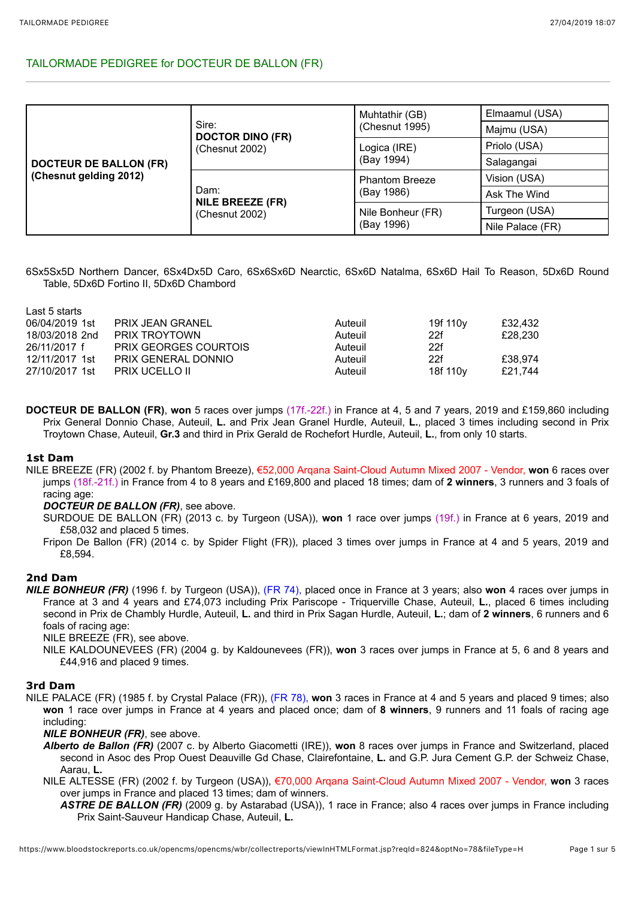# TAILORMADE PEDIGREE for DOCTEUR DE BALLON (FR)

| <b>DOCTEUR DE BALLON (FR)</b><br>(Chesnut gelding 2012) | Sire:<br><b>DOCTOR DINO (FR)</b><br>(Chesnut 2002) | Muhtathir (GB)        | Elmaamul (USA)   |  |
|---------------------------------------------------------|----------------------------------------------------|-----------------------|------------------|--|
|                                                         |                                                    | (Chesnut 1995)        | Majmu (USA)      |  |
|                                                         |                                                    | Logica (IRE)          | Priolo (USA)     |  |
|                                                         |                                                    | (Bay 1994)            | Salagangai       |  |
|                                                         | Dam:<br><b>NILE BREEZE (FR)</b><br>(Chesnut 2002)  | <b>Phantom Breeze</b> | Vision (USA)     |  |
|                                                         |                                                    | (Bay 1986)            | Ask The Wind     |  |
|                                                         |                                                    | Nile Bonheur (FR)     | Turgeon (USA)    |  |
|                                                         |                                                    | (Bay 1996)            | Nile Palace (FR) |  |

6Sx5Sx5D Northern Dancer, 6Sx4Dx5D Caro, 6Sx6Sx6D Nearctic, 6Sx6D Natalma, 6Sx6D Hail To Reason, 5Dx6D Round Table, 5Dx6D Fortino II, 5Dx6D Chambord

| Last 5 starts  |                              |         |                      |         |
|----------------|------------------------------|---------|----------------------|---------|
| 06/04/2019 1st | PRIX JEAN GRANEL             | Auteuil | 19f 110 <sub>V</sub> | £32,432 |
| 18/03/2018 2nd | PRIX TROYTOWN                | Auteuil | 22f                  | £28,230 |
| 26/11/2017 f   | <b>PRIX GEORGES COURTOIS</b> | Auteuil | 22f                  |         |
| 12/11/2017 1st | PRIX GENERAL DONNIO          | Auteuil | 22f                  | £38.974 |
| 27/10/2017 1st | <b>PRIX UCELLO II</b>        | Auteuil | 18f 110 <sub>V</sub> | £21.744 |

**DOCTEUR DE BALLON (FR)**, **won** 5 races over jumps (17f.-22f.) in France at 4, 5 and 7 years, 2019 and £159,860 including Prix General Donnio Chase, Auteuil, **L.** and Prix Jean Granel Hurdle, Auteuil, **L.**, placed 3 times including second in Prix Troytown Chase, Auteuil, **Gr.3** and third in Prix Gerald de Rochefort Hurdle, Auteuil, **L.**, from only 10 starts.

# **1st Dam**

NILE BREEZE (FR) (2002 f. by Phantom Breeze), €52,000 Arqana Saint-Cloud Autumn Mixed 2007 - Vendor, **won** 6 races over jumps (18f.-21f.) in France from 4 to 8 years and £169,800 and placed 18 times; dam of **2 winners**, 3 runners and 3 foals of racing age:

# *DOCTEUR DE BALLON (FR)*, see above.

- SURDOUE DE BALLON (FR) (2013 c. by Turgeon (USA)), **won** 1 race over jumps (19f.) in France at 6 years, 2019 and £58,032 and placed 5 times.
- Fripon De Ballon (FR) (2014 c. by Spider Flight (FR)), placed 3 times over jumps in France at 4 and 5 years, 2019 and £8,594.

# **2nd Dam**

*NILE BONHEUR (FR)* (1996 f. by Turgeon (USA)), (FR 74), placed once in France at 3 years; also **won** 4 races over jumps in France at 3 and 4 years and £74,073 including Prix Pariscope - Triquerville Chase, Auteuil, **L.**, placed 6 times including second in Prix de Chambly Hurdle, Auteuil, **L.** and third in Prix Sagan Hurdle, Auteuil, **L.**; dam of **2 winners**, 6 runners and 6 foals of racing age:

NILE BREEZE (FR), see above.

NILE KALDOUNEVEES (FR) (2004 g. by Kaldounevees (FR)), **won** 3 races over jumps in France at 5, 6 and 8 years and £44,916 and placed 9 times.

# **3rd Dam**

NILE PALACE (FR) (1985 f. by Crystal Palace (FR)), (FR 78), **won** 3 races in France at 4 and 5 years and placed 9 times; also **won** 1 race over jumps in France at 4 years and placed once; dam of **8 winners**, 9 runners and 11 foals of racing age including:

*NILE BONHEUR (FR)*, see above.

- *Alberto de Ballon (FR)* (2007 c. by Alberto Giacometti (IRE)), **won** 8 races over jumps in France and Switzerland, placed second in Asoc des Prop Ouest Deauville Gd Chase, Clairefontaine, **L.** and G.P. Jura Cement G.P. der Schweiz Chase, Aarau, **L.**
- NILE ALTESSE (FR) (2002 f. by Turgeon (USA)), €70,000 Arqana Saint-Cloud Autumn Mixed 2007 Vendor, **won** 3 races over jumps in France and placed 13 times; dam of winners.
	- *ASTRE DE BALLON (FR)* (2009 g. by Astarabad (USA)), 1 race in France; also 4 races over jumps in France including Prix Saint-Sauveur Handicap Chase, Auteuil, **L.**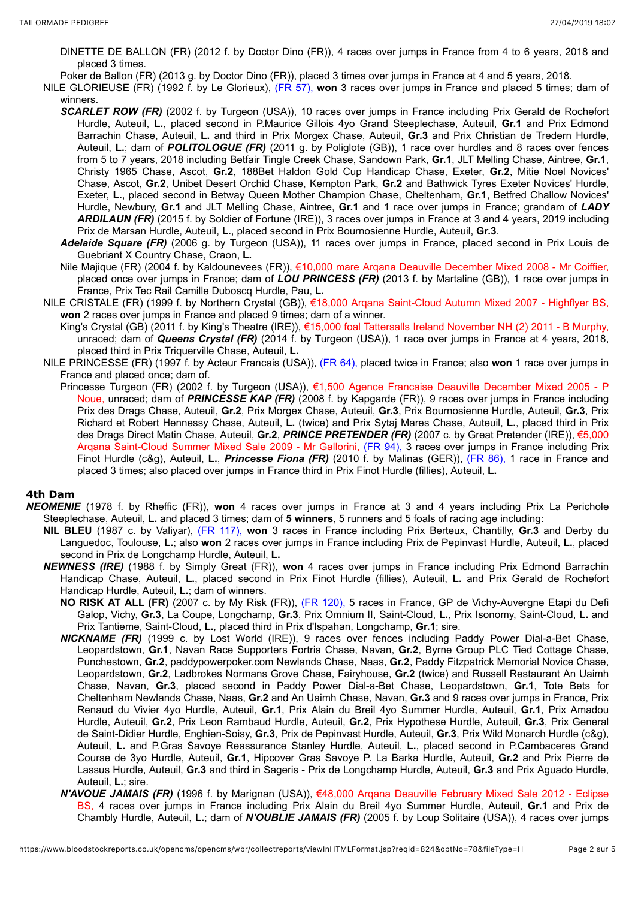- DINETTE DE BALLON (FR) (2012 f. by Doctor Dino (FR)), 4 races over jumps in France from 4 to 6 years, 2018 and placed 3 times.
- Poker de Ballon (FR) (2013 g. by Doctor Dino (FR)), placed 3 times over jumps in France at 4 and 5 years, 2018.
- NILE GLORIEUSE (FR) (1992 f. by Le Glorieux), (FR 57), **won** 3 races over jumps in France and placed 5 times; dam of winners.
	- **SCARLET ROW (FR)** (2002 f. by Turgeon (USA)), 10 races over jumps in France including Prix Gerald de Rochefort Hurdle, Auteuil, **L.**, placed second in P.Maurice Gillois 4yo Grand Steeplechase, Auteuil, **Gr.1** and Prix Edmond Barrachin Chase, Auteuil, **L.** and third in Prix Morgex Chase, Auteuil, **Gr.3** and Prix Christian de Tredern Hurdle, Auteuil, **L.**; dam of *POLITOLOGUE (FR)* (2011 g. by Poliglote (GB)), 1 race over hurdles and 8 races over fences from 5 to 7 years, 2018 including Betfair Tingle Creek Chase, Sandown Park, **Gr.1**, JLT Melling Chase, Aintree, **Gr.1**, Christy 1965 Chase, Ascot, **Gr.2**, 188Bet Haldon Gold Cup Handicap Chase, Exeter, **Gr.2**, Mitie Noel Novices' Chase, Ascot, **Gr.2**, Unibet Desert Orchid Chase, Kempton Park, **Gr.2** and Bathwick Tyres Exeter Novices' Hurdle, Exeter, **L.**, placed second in Betway Queen Mother Champion Chase, Cheltenham, **Gr.1**, Betfred Challow Novices' Hurdle, Newbury, **Gr.1** and JLT Melling Chase, Aintree, **Gr.1** and 1 race over jumps in France; grandam of *LADY ARDILAUN (FR)* (2015 f. by Soldier of Fortune (IRE)), 3 races over jumps in France at 3 and 4 years, 2019 including Prix de Marsan Hurdle, Auteuil, **L.**, placed second in Prix Bournosienne Hurdle, Auteuil, **Gr.3**.
	- *Adelaide Square (FR)* (2006 g. by Turgeon (USA)), 11 races over jumps in France, placed second in Prix Louis de Guebriant X Country Chase, Craon, **L.**
	- Nile Majique (FR) (2004 f. by Kaldounevees (FR)), €10,000 mare Arqana Deauville December Mixed 2008 Mr Coiffier, placed once over jumps in France; dam of *LOU PRINCESS (FR)* (2013 f. by Martaline (GB)), 1 race over jumps in France, Prix Tec Rail Camille Duboscq Hurdle, Pau, **L.**
- NILE CRISTALE (FR) (1999 f. by Northern Crystal (GB)), €18,000 Arqana Saint-Cloud Autumn Mixed 2007 Highflyer BS, **won** 2 races over jumps in France and placed 9 times; dam of a winner.
	- King's Crystal (GB) (2011 f. by King's Theatre (IRE)), €15,000 foal Tattersalls Ireland November NH (2) 2011 B Murphy, unraced; dam of *Queens Crystal (FR)* (2014 f. by Turgeon (USA)), 1 race over jumps in France at 4 years, 2018, placed third in Prix Triquerville Chase, Auteuil, **L.**
- NILE PRINCESSE (FR) (1997 f. by Acteur Francais (USA)), (FR 64), placed twice in France; also **won** 1 race over jumps in France and placed once; dam of.
	- Princesse Turgeon (FR) (2002 f. by Turgeon (USA)), €1,500 Agence Francaise Deauville December Mixed 2005 P Noue, unraced; dam of *PRINCESSE KAP (FR)* (2008 f. by Kapgarde (FR)), 9 races over jumps in France including Prix des Drags Chase, Auteuil, **Gr.2**, Prix Morgex Chase, Auteuil, **Gr.3**, Prix Bournosienne Hurdle, Auteuil, **Gr.3**, Prix Richard et Robert Hennessy Chase, Auteuil, **L.** (twice) and Prix Sytaj Mares Chase, Auteuil, **L.**, placed third in Prix des Drags Direct Matin Chase, Auteuil, **Gr.2**, *PRINCE PRETENDER (FR)* (2007 c. by Great Pretender (IRE)), €5,000 Arqana Saint-Cloud Summer Mixed Sale 2009 - Mr Gallorini, (FR 94), 3 races over jumps in France including Prix Finot Hurdle (c&g), Auteuil, **L.**, *Princesse Fiona (FR)* (2010 f. by Malinas (GER)), (FR 86), 1 race in France and placed 3 times; also placed over jumps in France third in Prix Finot Hurdle (fillies), Auteuil, **L.**

# **4th Dam**

- *NEOMENIE* (1978 f. by Rheffic (FR)), **won** 4 races over jumps in France at 3 and 4 years including Prix La Perichole Steeplechase, Auteuil, **L.** and placed 3 times; dam of **5 winners**, 5 runners and 5 foals of racing age including:
	- **NIL BLEU** (1987 c. by Valiyar), (FR 117), **won** 3 races in France including Prix Berteux, Chantilly, **Gr.3** and Derby du Languedoc, Toulouse, **L.**; also **won** 2 races over jumps in France including Prix de Pepinvast Hurdle, Auteuil, **L.**, placed second in Prix de Longchamp Hurdle, Auteuil, **L.**
	- *NEWNESS (IRE)* (1988 f. by Simply Great (FR)), **won** 4 races over jumps in France including Prix Edmond Barrachin Handicap Chase, Auteuil, **L.**, placed second in Prix Finot Hurdle (fillies), Auteuil, **L.** and Prix Gerald de Rochefort Handicap Hurdle, Auteuil, **L.**; dam of winners.
		- **NO RISK AT ALL (FR)** (2007 c. by My Risk (FR)), (FR 120), 5 races in France, GP de Vichy-Auvergne Etapi du Defi Galop, Vichy, **Gr.3**, La Coupe, Longchamp, **Gr.3**, Prix Omnium II, Saint-Cloud, **L.**, Prix Isonomy, Saint-Cloud, **L.** and Prix Tantieme, Saint-Cloud, **L.**, placed third in Prix d'Ispahan, Longchamp, **Gr.1**; sire.
		- *NICKNAME (FR)* (1999 c. by Lost World (IRE)), 9 races over fences including Paddy Power Dial-a-Bet Chase, Leopardstown, **Gr.1**, Navan Race Supporters Fortria Chase, Navan, **Gr.2**, Byrne Group PLC Tied Cottage Chase, Punchestown, **Gr.2**, paddypowerpoker.com Newlands Chase, Naas, **Gr.2**, Paddy Fitzpatrick Memorial Novice Chase, Leopardstown, **Gr.2**, Ladbrokes Normans Grove Chase, Fairyhouse, **Gr.2** (twice) and Russell Restaurant An Uaimh Chase, Navan, **Gr.3**, placed second in Paddy Power Dial-a-Bet Chase, Leopardstown, **Gr.1**, Tote Bets for Cheltenham Newlands Chase, Naas, **Gr.2** and An Uaimh Chase, Navan, **Gr.3** and 9 races over jumps in France, Prix Renaud du Vivier 4yo Hurdle, Auteuil, **Gr.1**, Prix Alain du Breil 4yo Summer Hurdle, Auteuil, **Gr.1**, Prix Amadou Hurdle, Auteuil, **Gr.2**, Prix Leon Rambaud Hurdle, Auteuil, **Gr.2**, Prix Hypothese Hurdle, Auteuil, **Gr.3**, Prix General de Saint-Didier Hurdle, Enghien-Soisy, **Gr.3**, Prix de Pepinvast Hurdle, Auteuil, **Gr.3**, Prix Wild Monarch Hurdle (c&g), Auteuil, **L.** and P.Gras Savoye Reassurance Stanley Hurdle, Auteuil, **L.**, placed second in P.Cambaceres Grand Course de 3yo Hurdle, Auteuil, **Gr.1**, Hipcover Gras Savoye P. La Barka Hurdle, Auteuil, **Gr.2** and Prix Pierre de Lassus Hurdle, Auteuil, **Gr.3** and third in Sageris - Prix de Longchamp Hurdle, Auteuil, **Gr.3** and Prix Aguado Hurdle, Auteuil, **L.**; sire.
		- *N'AVOUE JAMAIS (FR)* (1996 f. by Marignan (USA)), €48,000 Arqana Deauville February Mixed Sale 2012 Eclipse BS, 4 races over jumps in France including Prix Alain du Breil 4yo Summer Hurdle, Auteuil, **Gr.1** and Prix de Chambly Hurdle, Auteuil, **L.**; dam of *N'OUBLIE JAMAIS (FR)* (2005 f. by Loup Solitaire (USA)), 4 races over jumps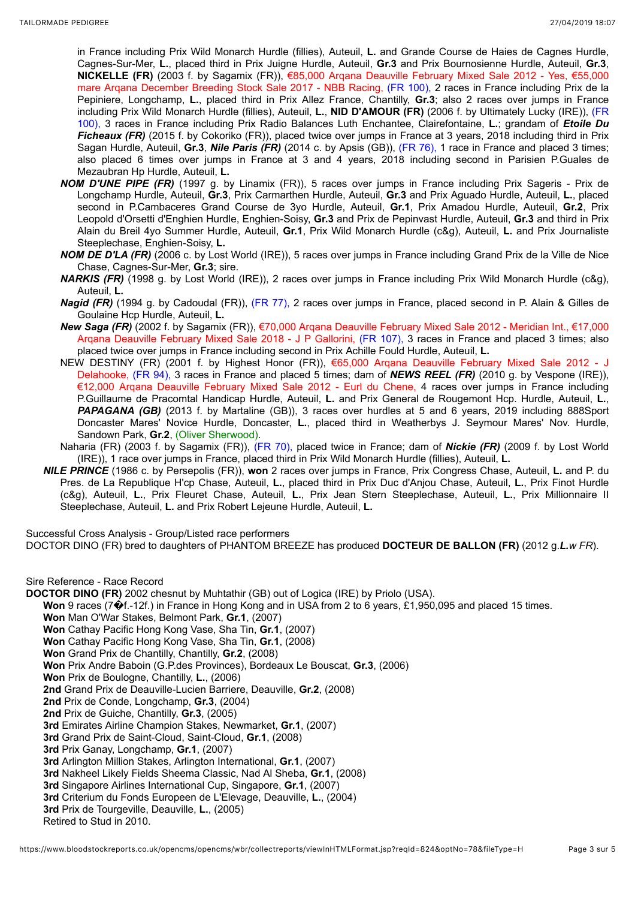in France including Prix Wild Monarch Hurdle (fillies), Auteuil, **L.** and Grande Course de Haies de Cagnes Hurdle, Cagnes-Sur-Mer, **L.**, placed third in Prix Juigne Hurdle, Auteuil, **Gr.3** and Prix Bournosienne Hurdle, Auteuil, **Gr.3**, **NICKELLE (FR)** (2003 f. by Sagamix (FR)), €85,000 Arqana Deauville February Mixed Sale 2012 - Yes, €55,000 mare Arqana December Breeding Stock Sale 2017 - NBB Racing, (FR 100), 2 races in France including Prix de la Pepiniere, Longchamp, **L.**, placed third in Prix Allez France, Chantilly, **Gr.3**; also 2 races over jumps in France including Prix Wild Monarch Hurdle (fillies), Auteuil, **L.**, **NID D'AMOUR (FR)** (2006 f. by Ultimately Lucky (IRE)), (FR 100), 3 races in France including Prix Radio Balances Luth Enchantee, Clairefontaine, **L.**; grandam of *Etoile Du Ficheaux (FR)* (2015 f. by Cokoriko (FR)), placed twice over jumps in France at 3 years, 2018 including third in Prix Sagan Hurdle, Auteuil, **Gr.3**, *Nile Paris (FR)* (2014 c. by Apsis (GB)), (FR 76), 1 race in France and placed 3 times; also placed 6 times over jumps in France at 3 and 4 years, 2018 including second in Parisien P.Guales de Mezaubran Hp Hurdle, Auteuil, **L.**

- *NOM D'UNE PIPE (FR)* (1997 g. by Linamix (FR)), 5 races over jumps in France including Prix Sageris Prix de Longchamp Hurdle, Auteuil, **Gr.3**, Prix Carmarthen Hurdle, Auteuil, **Gr.3** and Prix Aguado Hurdle, Auteuil, **L.**, placed second in P.Cambaceres Grand Course de 3yo Hurdle, Auteuil, **Gr.1**, Prix Amadou Hurdle, Auteuil, **Gr.2**, Prix Leopold d'Orsetti d'Enghien Hurdle, Enghien-Soisy, **Gr.3** and Prix de Pepinvast Hurdle, Auteuil, **Gr.3** and third in Prix Alain du Breil 4yo Summer Hurdle, Auteuil, **Gr.1**, Prix Wild Monarch Hurdle (c&g), Auteuil, **L.** and Prix Journaliste Steeplechase, Enghien-Soisy, **L.**
- *NOM DE D'LA (FR)* (2006 c. by Lost World (IRE)), 5 races over jumps in France including Grand Prix de la Ville de Nice Chase, Cagnes-Sur-Mer, **Gr.3**; sire.
- *NARKIS (FR)* (1998 g. by Lost World (IRE)), 2 races over jumps in France including Prix Wild Monarch Hurdle (c&g), Auteuil, **L.**
- *Nagid (FR)* (1994 g. by Cadoudal (FR)), (FR 77), 2 races over jumps in France, placed second in P. Alain & Gilles de Goulaine Hcp Hurdle, Auteuil, **L.**
- *New Saga (FR)* (2002 f. by Sagamix (FR)), €70,000 Arqana Deauville February Mixed Sale 2012 Meridian Int., €17,000 Arqana Deauville February Mixed Sale 2018 - J P Gallorini, (FR 107), 3 races in France and placed 3 times; also placed twice over jumps in France including second in Prix Achille Fould Hurdle, Auteuil, **L.**
- NEW DESTINY (FR) (2001 f. by Highest Honor (FR)), €65,000 Arqana Deauville February Mixed Sale 2012 J Delahooke, (FR 94), 3 races in France and placed 5 times; dam of *NEWS REEL (FR)* (2010 g. by Vespone (IRE)), €12,000 Arqana Deauville February Mixed Sale 2012 - Eurl du Chene, 4 races over jumps in France including P.Guillaume de Pracomtal Handicap Hurdle, Auteuil, **L.** and Prix General de Rougemont Hcp. Hurdle, Auteuil, **L.**, PAPAGANA (GB) (2013 f. by Martaline (GB)), 3 races over hurdles at 5 and 6 years, 2019 including 888Sport Doncaster Mares' Novice Hurdle, Doncaster, **L.**, placed third in Weatherbys J. Seymour Mares' Nov. Hurdle, Sandown Park, **Gr.2**, (Oliver Sherwood).
- Naharia (FR) (2003 f. by Sagamix (FR)), (FR 70), placed twice in France; dam of *Nickie (FR)* (2009 f. by Lost World (IRE)), 1 race over jumps in France, placed third in Prix Wild Monarch Hurdle (fillies), Auteuil, **L.**
- *NILE PRINCE* (1986 c. by Persepolis (FR)), **won** 2 races over jumps in France, Prix Congress Chase, Auteuil, **L.** and P. du Pres. de La Republique H'cp Chase, Auteuil, **L.**, placed third in Prix Duc d'Anjou Chase, Auteuil, **L.**, Prix Finot Hurdle (c&g), Auteuil, **L.**, Prix Fleuret Chase, Auteuil, **L.**, Prix Jean Stern Steeplechase, Auteuil, **L.**, Prix Millionnaire II Steeplechase, Auteuil, **L.** and Prix Robert Lejeune Hurdle, Auteuil, **L.**

Successful Cross Analysis - Group/Listed race performers

DOCTOR DINO (FR) bred to daughters of PHANTOM BREEZE has produced **DOCTEUR DE BALLON (FR)** (2012 g.*L.w FR*).

Sire Reference - Race Record

- **DOCTOR DINO (FR)** 2002 chesnut by Muhtathir (GB) out of Logica (IRE) by Priolo (USA).
	- **Won** 9 races (7�f.-12f.) in France in Hong Kong and in USA from 2 to 6 years, £1,950,095 and placed 15 times.
		- **Won** Man O'War Stakes, Belmont Park, **Gr.1**, (2007)
		- **Won** Cathay Pacific Hong Kong Vase, Sha Tin, **Gr.1**, (2007)
		- **Won** Cathay Pacific Hong Kong Vase, Sha Tin, **Gr.1**, (2008)
		- **Won** Grand Prix de Chantilly, Chantilly, **Gr.2**, (2008)
		- **Won** Prix Andre Baboin (G.P.des Provinces), Bordeaux Le Bouscat, **Gr.3**, (2006)
		- **Won** Prix de Boulogne, Chantilly, **L.**, (2006)
		- **2nd** Grand Prix de Deauville-Lucien Barriere, Deauville, **Gr.2**, (2008)
		- **2nd** Prix de Conde, Longchamp, **Gr.3**, (2004)
		- **2nd** Prix de Guiche, Chantilly, **Gr.3**, (2005)
		- **3rd** Emirates Airline Champion Stakes, Newmarket, **Gr.1**, (2007)
		- **3rd** Grand Prix de Saint-Cloud, Saint-Cloud, **Gr.1**, (2008)
		- **3rd** Prix Ganay, Longchamp, **Gr.1**, (2007)
		- **3rd** Arlington Million Stakes, Arlington International, **Gr.1**, (2007)
		- **3rd** Nakheel Likely Fields Sheema Classic, Nad Al Sheba, **Gr.1**, (2008)
		- **3rd** Singapore Airlines International Cup, Singapore, **Gr.1**, (2007)
		- **3rd** Criterium du Fonds Europeen de L'Elevage, Deauville, **L.**, (2004)
		- **3rd** Prix de Tourgeville, Deauville, **L.**, (2005)

Retired to Stud in 2010.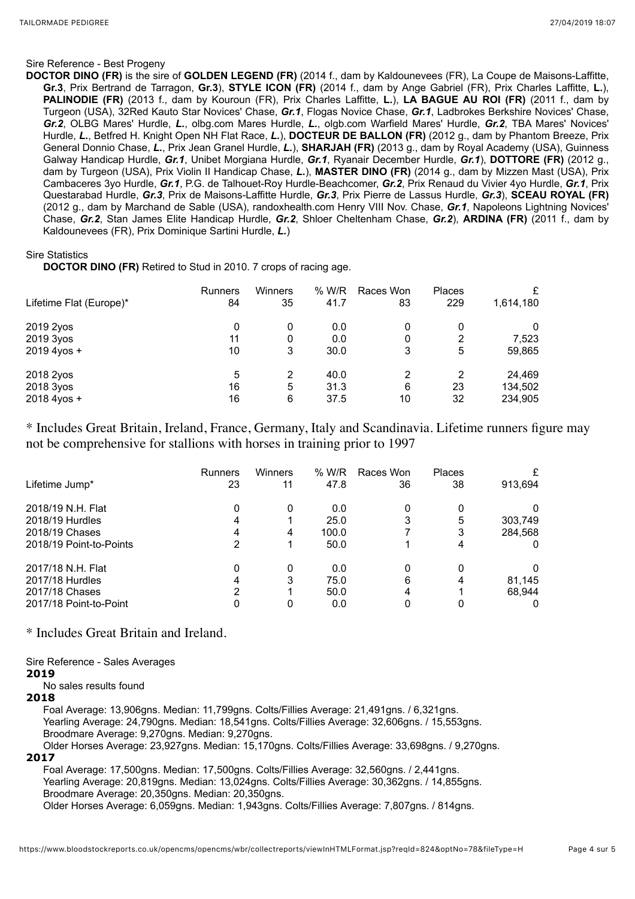#### Sire Reference - Best Progeny

**DOCTOR DINO (FR)** is the sire of **GOLDEN LEGEND (FR)** (2014 f., dam by Kaldounevees (FR), La Coupe de Maisons-Laffitte, **Gr.3**, Prix Bertrand de Tarragon, **Gr.3**), **STYLE ICON (FR)** (2014 f., dam by Ange Gabriel (FR), Prix Charles Laffitte, **L.**), **PALINODIE (FR)** (2013 f., dam by Kouroun (FR), Prix Charles Laffitte, **L.**), **LA BAGUE AU ROI (FR)** (2011 f., dam by Turgeon (USA), 32Red Kauto Star Novices' Chase, *Gr.1*, Flogas Novice Chase, *Gr.1*, Ladbrokes Berkshire Novices' Chase, *Gr.2*, OLBG Mares' Hurdle, *L.*, olbg.com Mares Hurdle, *L.*, olgb.com Warfield Mares' Hurdle, *Gr.2*, TBA Mares' Novices' Hurdle, *L.*, Betfred H. Knight Open NH Flat Race, *L.*), **DOCTEUR DE BALLON (FR)** (2012 g., dam by Phantom Breeze, Prix General Donnio Chase, *L.*, Prix Jean Granel Hurdle, *L.*), **SHARJAH (FR)** (2013 g., dam by Royal Academy (USA), Guinness Galway Handicap Hurdle, *Gr.1*, Unibet Morgiana Hurdle, *Gr.1*, Ryanair December Hurdle, *Gr.1*), **DOTTORE (FR)** (2012 g., dam by Turgeon (USA), Prix Violin II Handicap Chase, *L.*), **MASTER DINO (FR)** (2014 g., dam by Mizzen Mast (USA), Prix Cambaceres 3yo Hurdle, *Gr.1*, P.G. de Talhouet-Roy Hurdle-Beachcomer, *Gr.2*, Prix Renaud du Vivier 4yo Hurdle, *Gr.1*, Prix Questarabad Hurdle, *Gr.3*, Prix de Maisons-Laffitte Hurdle, *Gr.3*, Prix Pierre de Lassus Hurdle, *Gr.3*), **SCEAU ROYAL (FR)** (2012 g., dam by Marchand de Sable (USA), randoxhealth.com Henry VIII Nov. Chase, *Gr.1*, Napoleons Lightning Novices' Chase, *Gr.2*, Stan James Elite Handicap Hurdle, *Gr.2*, Shloer Cheltenham Chase, *Gr.2*), **ARDINA (FR)** (2011 f., dam by Kaldounevees (FR), Prix Dominique Sartini Hurdle, *L.*)

#### Sire Statistics

**DOCTOR DINO (FR)** Retired to Stud in 2010. 7 crops of racing age.

| Lifetime Flat (Europe)* | <b>Runners</b> | Winners | % W/R | Races Won | <b>Places</b> | £         |
|-------------------------|----------------|---------|-------|-----------|---------------|-----------|
|                         | 84             | 35      | 41.7  | 83        | 229           | 1,614,180 |
| 2019 2yos               | 0              | 0       | 0.0   | 0         | 2             | 0         |
| 2019 3yos               | 11             | 0       | 0.0   | 0         |               | 7,523     |
| 2019 4yos +             | 10             | 3       | 30.0  | 3         | 5             | 59,865    |
| 2018 2yos               | 5              | 2       | 40.0  | 2         | 2             | 24,469    |
| 2018 3yos               | 16             | 5       | 31.3  | 6         | 23            | 134,502   |
| 2018 4yos +             | 16             | 6       | 37.5  | 10        | 32            | 234,905   |

\* Includes Great Britain, Ireland, France, Germany, Italy and Scandinavia. Lifetime runners figure may not be comprehensive for stallions with horses in training prior to 1997

|                         | <b>Runners</b> | Winners | % W/R | Races Won | Places | £        |
|-------------------------|----------------|---------|-------|-----------|--------|----------|
| Lifetime Jump*          | 23             | 11      | 47.8  | 36        | 38     | 913,694  |
| 2018/19 N.H. Flat       | 0              | 0       | 0.0   |           | 0      | 0        |
| 2018/19 Hurdles         | 4              |         | 25.0  |           | 5      | 303,749  |
| 2018/19 Chases          | 4              | 4       | 100.0 |           | 3      | 284,568  |
| 2018/19 Point-to-Points | 2              |         | 50.0  |           |        | 0        |
| 2017/18 N.H. Flat       | 0              | 0       | 0.0   |           | ი      | $\Omega$ |
| 2017/18 Hurdles         | 4              | 3       | 75.0  | 6         |        | 81,145   |
| 2017/18 Chases          | 2              |         | 50.0  | 4         |        | 68.944   |
| 2017/18 Point-to-Point  | 0              | 0       | 0.0   |           |        | $\Omega$ |

\* Includes Great Britain and Ireland.

Sire Reference - Sales Averages **2019**

No sales results found

#### **2018**

Foal Average: 13,906gns. Median: 11,799gns. Colts/Fillies Average: 21,491gns. / 6,321gns. Yearling Average: 24,790gns. Median: 18,541gns. Colts/Fillies Average: 32,606gns. / 15,553gns. Broodmare Average: 9,270gns. Median: 9,270gns. Older Horses Average: 23,927gns. Median: 15,170gns. Colts/Fillies Average: 33,698gns. / 9,270gns. **2017**

Foal Average: 17,500gns. Median: 17,500gns. Colts/Fillies Average: 32,560gns. / 2,441gns. Yearling Average: 20,819gns. Median: 13,024gns. Colts/Fillies Average: 30,362gns. / 14,855gns. Broodmare Average: 20,350gns. Median: 20,350gns.

Older Horses Average: 6,059gns. Median: 1,943gns. Colts/Fillies Average: 7,807gns. / 814gns.